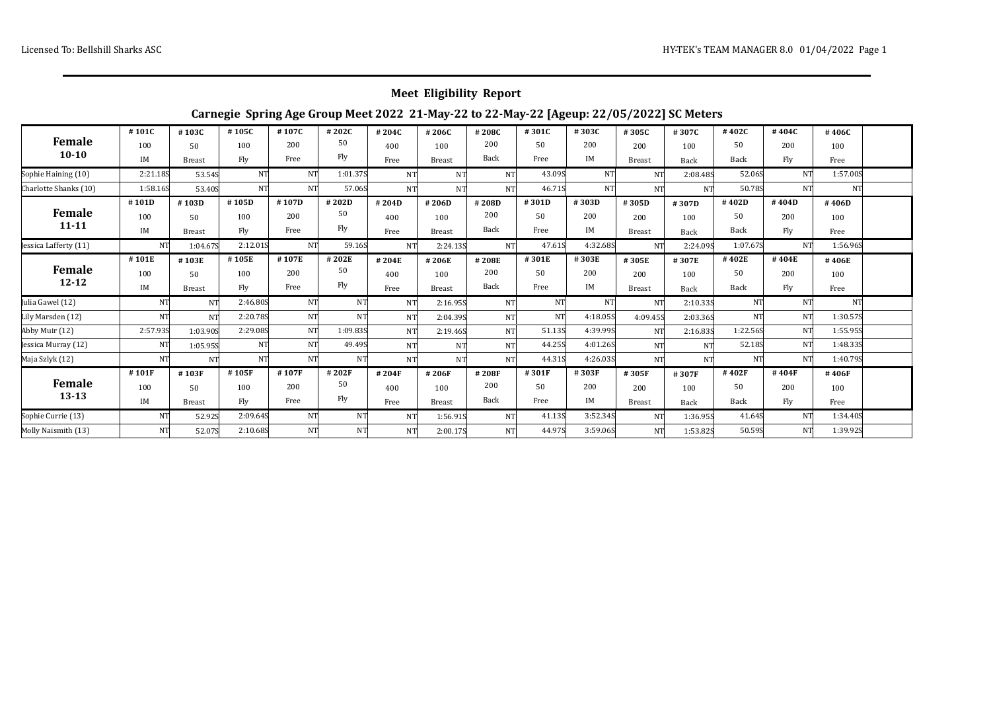## **Meet Eligibility Report**

## **Carnegie Spring Age Group Meet 2022 21-May-22 to 22-May-22 [Ageup: 22/05/2022] SC Meters**

| Female<br>$10 - 10$        | #101C     | #103C         | #105C     | #107C     | #202C     | #204C          | #206C         | #208C          | #301C  | #303C     | #305C         | #307C     | #402C          | #404C     | #406C     |  |
|----------------------------|-----------|---------------|-----------|-----------|-----------|----------------|---------------|----------------|--------|-----------|---------------|-----------|----------------|-----------|-----------|--|
|                            | 100       | 50            | 100       | 200       | 50        | 400            | 100           | 200            | 50     | 200       | 200           | 100       | 50             | 200       | 100       |  |
|                            | IM        | <b>Breast</b> | Fly       | Free      | Fly       | Free           | <b>Breast</b> | Back           | Free   | IM        | <b>Breast</b> | Back      | Back           | Fly       | Free      |  |
| Sophie Haining (10)        | 2:21.18S  | 53.54S        | NT        | <b>NT</b> | 1:01.37S  | <b>NT</b>      | <b>NT</b>     | NT             | 43.09S | <b>NT</b> | NT            | 2:08.485  | 52.06S         | <b>NT</b> | 1:57.00S  |  |
| Charlotte Shanks (10)      | 1:58.16S  | 53.40S        | <b>NT</b> | <b>NT</b> | 57.06S    | <b>NT</b>      | <b>NT</b>     | <b>NT</b>      | 46.71S | NT        | NT            | <b>NT</b> | 50.78S         | <b>NT</b> | <b>NT</b> |  |
| Female<br>$11 - 11$        | #101D     | #103D         | #105D     | #107D     | #202D     | #204D          | #206D         | #208D          | #301D  | #303D     | #305D         | #307D     | #402D          | #404D     | #406D     |  |
|                            | 100       | 50            | 100       | 200       | 50        | 400            | 100           | 200            | 50     | 200       | 200           | 100       | 50             | 200       | 100       |  |
|                            | IM        | <b>Breast</b> | Fly       | Free      | Fly       | Free           | <b>Breast</b> | Back           | Free   | IM        | <b>Breast</b> | Back      | Back           | Fly       | Free      |  |
| Jessica Lafferty (11)      | NT        | 1:04.67S      | 2:12.01S  | NT        | 59.16S    | N <sub>T</sub> | 2:24.13S      | NT             | 47.61S | 4:32.685  | <b>NT</b>     | 2:24.09S  | 1:07.67S       | <b>NT</b> | 1:56.96S  |  |
| <b>Female</b><br>$12 - 12$ | #101E     | #103E         | #105E     | #107E     | #202E     | #204E          | #206E         | #208E          | #301E  | #303E     | #305E         | #307E     | #402E          | #404E     | #406E     |  |
|                            | 100       | 50            | 100       | 200       | 50        | 400            | 100           | 200            | 50     | 200       | 200           | 100       | 50             | 200       | 100       |  |
|                            | IM        | <b>Breast</b> | Fly       | Free      | Fly       | Free           | <b>Breast</b> | Back           | Free   | IM        | <b>Breast</b> | Back      | Back           | Fly       | Free      |  |
| Julia Gawel (12)           | <b>NT</b> | NT            | 2:46.80S  | <b>NT</b> | NT        | N <sub>T</sub> | 2:16.95S      | NT.            | NΤ     | <b>NT</b> | NT            | 2:10.335  | <b>NT</b>      | <b>NT</b> | <b>NT</b> |  |
| Lily Marsden (12)          | <b>NT</b> | NT            | 2:20.785  | NT        | NT        | <b>NT</b>      | 2:04.395      | <b>NT</b>      | NT.    | 4:18.05S  | 4:09.455      | 2:03.365  | N <sub>T</sub> | <b>NT</b> | 1:30.57S  |  |
| Abby Muir (12)             | 2:57.93S  | 1:03.90S      | 2:29.08S  | <b>NT</b> | 1:09.83S  | <b>NT</b>      | 2:19.46S      | NT.            | 51.135 | 4:39.99S  | NT            | 2:16.835  | 1:22.56S       | <b>NT</b> | 1:55.95S  |  |
| Jessica Murray (12)        | NT        | 1:05.95S      | NT        | <b>NT</b> | 49.495    | <b>NT</b>      | <b>NT</b>     | <b>NT</b>      | 44.25S | 4:01.26S  | NT            | <b>NT</b> | 52.18S         | <b>NT</b> | 1:48.335  |  |
| Maja Szlyk (12)            | <b>NT</b> | NT            | NT.       | <b>NT</b> | <b>NT</b> | <b>NT</b>      | <b>NT</b>     | <b>NT</b>      | 44.31S | 4:26.03S  | NT.           | <b>NT</b> | NT             | NT        | 1:40.798  |  |
| <b>Female</b><br>$13 - 13$ | #101F     | #103F         | #105F     | #107F     | #202F     | #204F          | #206F         | #208F          | #301F  | #303F     | #305F         | #307F     | #402F          | #404F     | #406F     |  |
|                            | 100       | 50            | 100       | 200       | 50        | 400            | 100           | 200            | 50     | 200       | 200           | 100       | 50             | 200       | 100       |  |
|                            | IM        | <b>Breast</b> | Fly       | Free      | Fly       | Free           | <b>Breast</b> | Back           | Free   | IM        | <b>Breast</b> | Back      | Back           | Fly       | Free      |  |
| Sophie Currie (13)         | NT'       | 52.92S        | 2:09.645  | NT        | NT        | <b>NT</b>      | 1:56.91S      | <b>NT</b>      | 41.135 | 3:52.345  | NT            | 1:36.95S  | 41.64S         | <b>NT</b> | 1:34.40S  |  |
| Molly Naismith (13)        | NT        | 52.07S        | 2:10.685  | NT        | <b>NT</b> | NT.            | 2:00.17S      | N <sub>T</sub> | 44.97S | 3:59.06S  | NT            | 1:53.82S  | 50.59S         | NT        | 1:39.92S  |  |